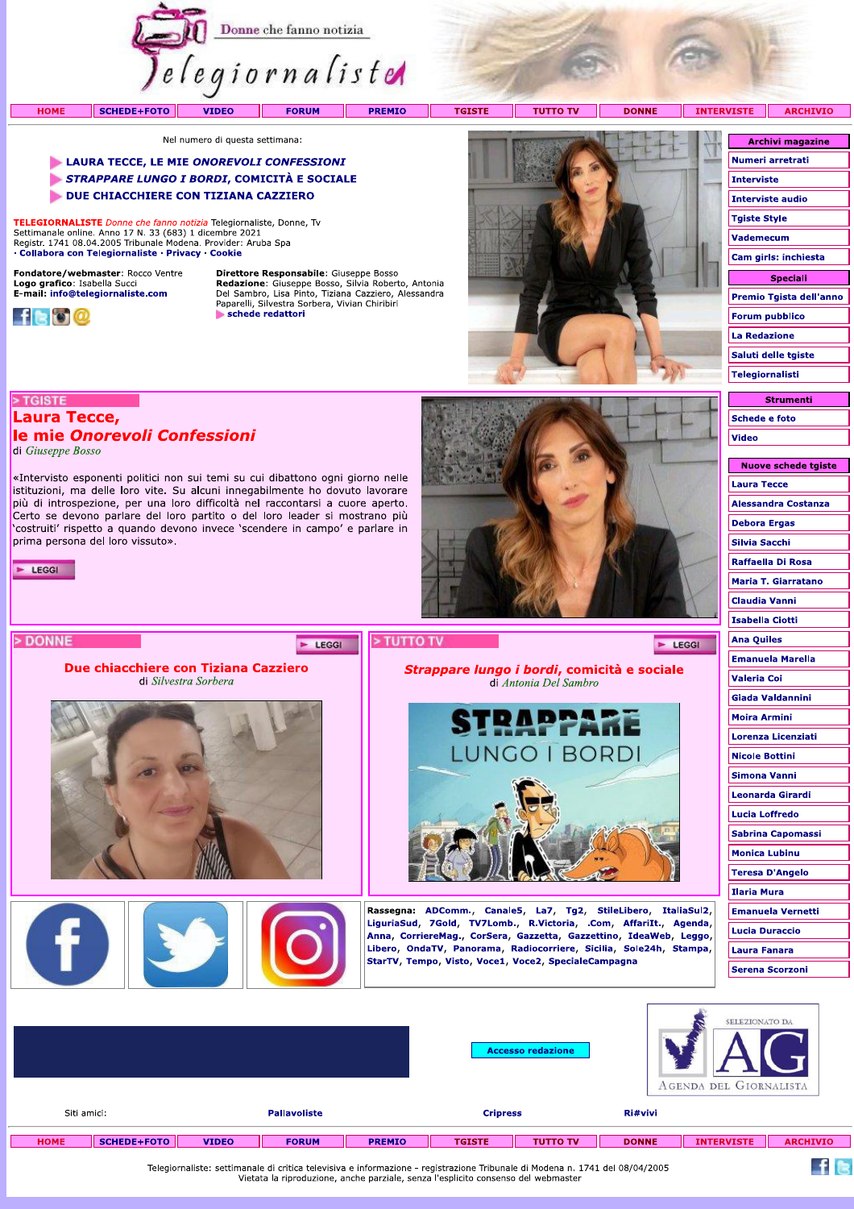

**TGISTE** 

**TUTTO TV DONNE**  **INTER** 

Nel numero di questa settimana:

- LAURA TECCE, LE MIE ONOREVOLI CONFESSIONI
- STRAPPARE LUNGO I BORDI, COMICITÀ E SOCIALE

«Intervisto esponenti politici non sui temi su cui dibattono ogni giorno nelle istituzioni, ma delle loro vite. Su alcuni innegabilmente ho dovuto lavorare più di introspezione, per una loro difficoltà nel raccontarsi a cuore aperto. Certo se devono parlare del loro partito o del loro leader si mostrano più 'costruiti' rispetto a quando devono invece 'scendere in campo' e parlare in

Due chiacchiere con Tiziana Cazziero

di Silvestra Sorbera

DUE CHIACCHIERE CON TIZIANA CAZZIERO

TELEGIORNALISTE Donne che fanno notizia Telegiornaliste, Donne, Tv Settimanale online. Anno 17 N. 33 (683) 1 dicembre 2021<br>Registr. 1741 08.04.2005 Tribunale Modena. Provider: Aruba Spa · Collabora con Telegiornaliste · Privacy · Cookie

Fondatore/webmaster: Rocco Ventre Logo grafico: Isabella Succi<br>E-mail: info@telegiornaliste.com

le mie Onorevoli Confessioni



> TGISTE

 $\blacktriangleright$  LEGGI

> DONNE

Laura Tecce,

prima persona del loro vissuto».

di Giuseppe Bosso

Direttore Responsabile: Giuseppe Bosso France Consequence Consequence Consequence Consequence Consequence Consequence Del Sambro, Lisa Pinto, Tiziana Cazziero, Alessandra Paparelli, Silvestra Sorbera, Vivian Chiribiri schede redattori

E LEGGI



Strappare lungo i bordi, comicità e sociale

di Antonia Del Sambro

**LUNGO I BORDI** 

Rassegna: ADComm., Canale5, La7, Tg2, StileLibero, ItaliaSul2, LiguriaSud, 7Gold, TV7Lomb., R.Victoria, .Com, AffariIt., Agenda, Anna, CorriereMag., CorSera, Gazzetta, Gazzettino, IdeaWeb, Leggo, Libero, OndaTV, Panorama, Radiocorriere, Sicilia, Sole24h, Stampa,

StarTV, Tempo, Visto, Voce1, Voce2, SpecialeCampagna

RAPPARE

| <b>WISTE</b>            | <b>ARCHIVIO</b>         |  |  |  |  |  |  |  |
|-------------------------|-------------------------|--|--|--|--|--|--|--|
|                         |                         |  |  |  |  |  |  |  |
| <b>Archivi magazine</b> |                         |  |  |  |  |  |  |  |
| Numeri arretrati        |                         |  |  |  |  |  |  |  |
| Interviste              |                         |  |  |  |  |  |  |  |
| <b>Interviste audio</b> |                         |  |  |  |  |  |  |  |
| Tgiste Style            |                         |  |  |  |  |  |  |  |
| Vademecum               |                         |  |  |  |  |  |  |  |
| Cam girls: inchiesta    |                         |  |  |  |  |  |  |  |
| <b>Speciali</b>         |                         |  |  |  |  |  |  |  |
|                         | Premio Tgista dell'anno |  |  |  |  |  |  |  |
|                         | <b>Forum pubblico</b>   |  |  |  |  |  |  |  |
| <b>La Redazione</b>     |                         |  |  |  |  |  |  |  |
|                         | Saluti delle tgiste     |  |  |  |  |  |  |  |
|                         |                         |  |  |  |  |  |  |  |
| Telegiornalisti         |                         |  |  |  |  |  |  |  |

**Strumenti Schede e foto** Video

| Nuove schede tgiste        |
|----------------------------|
| Laura Tecce                |
| Alessandra Costanza        |
| Debora Ergas               |
| Silvia Sacchi              |
| Raffaella Di Rosa          |
| <b>Maria T. Giarratano</b> |
| <b>Claudia Vanni</b>       |
| <b>Isabella Ciotti</b>     |
| Ana Quiles                 |
| <b>Emanuela Marella</b>    |
| Valeria Coi                |
| Giada Valdannini           |
| Moira Armini               |
| Lorenza Licenziati         |
| <b>Nicole Bottini</b>      |
| Simona Vanni               |
| Leonarda Girardi           |
| <b>Lucia Loffredo</b>      |
| <b>Sabrina Capomassi</b>   |
| Monica Lubinu              |
| <b>Teresa D'Angelo</b>     |
| Ilaria Mura                |
| <b>Emanuela Vernetti</b>   |
| Lucia Duraccio             |
| Laura Fanara               |
| Serena Scorzoni            |
|                            |

 $f$  is

 $\blacktriangleright$  LEGGI

|             |                    |              |                     |               |                 | <b>Accesso redazione</b> |              | SELEZIONATO DA<br>AGENDA DEL GIORNALISTA |                 |  |  |  |
|-------------|--------------------|--------------|---------------------|---------------|-----------------|--------------------------|--------------|------------------------------------------|-----------------|--|--|--|
| Siti amici: |                    |              | <b>Pallavoliste</b> |               | <b>Cripress</b> |                          | Ri#vivi      |                                          |                 |  |  |  |
| <b>HOME</b> | <b>SCHEDE+FOTO</b> | <b>VIDEO</b> | <b>FORUM</b>        | <b>PREMIO</b> | <b>TGISTE</b>   | <b>TUTTO TV</b>          | <b>DONNE</b> | <b>INTERVISTE</b>                        | <b>ARCHIVIO</b> |  |  |  |

> TUTTO TV

Telegiornaliste: settimanale di critica televisiva e informazione - registrazione Tribunale di Modena n. 1741 del 08/04/2005<br>Vietata la riproduzione, anche parziale, senza l'esplicito consenso del webmaster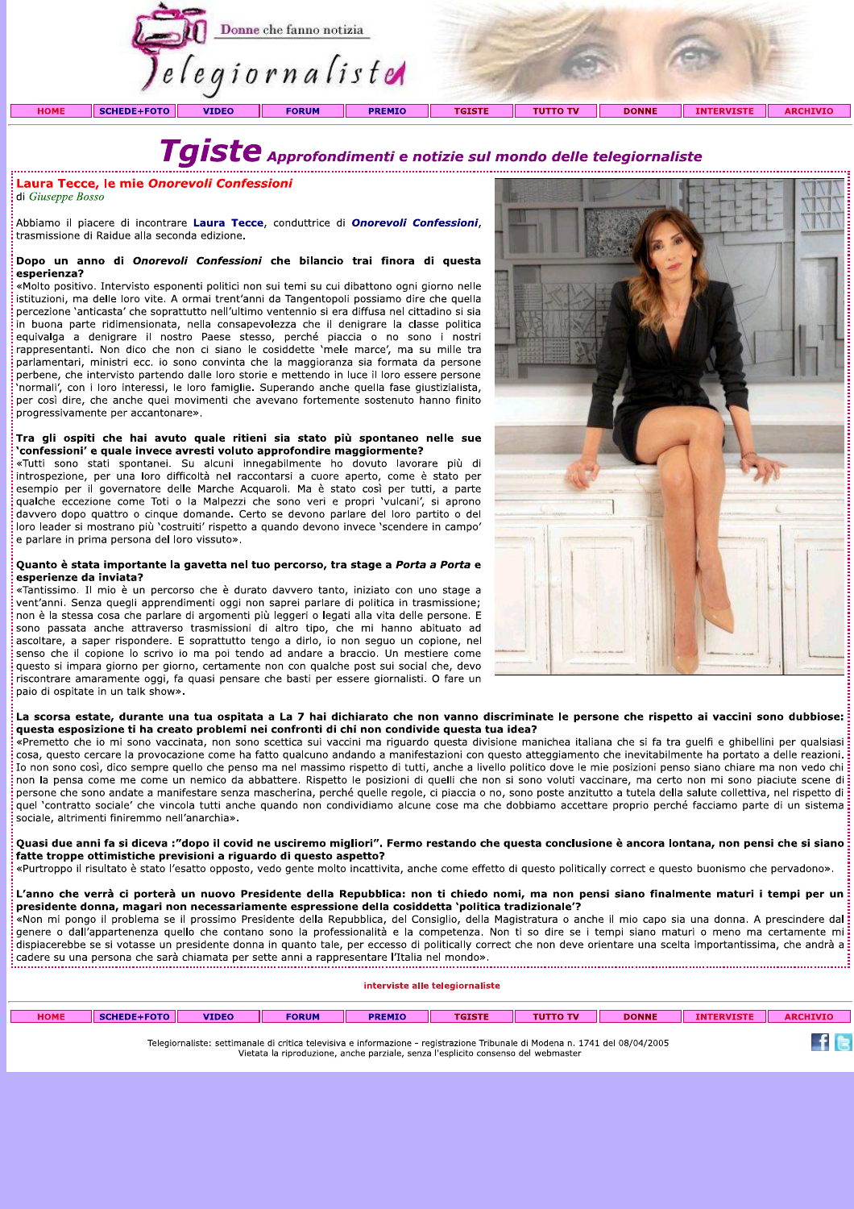

# Taiste Approfondimenti e notizie sul mondo delle telegiornaliste

Laura Tecce, le mie Onorevoli Confessioni

di Giuseppe Bosso

Abbiamo il piacere di incontrare Laura Tecce, conduttrice di Onorevoli Confessioni, trasmissione di Raidue alla seconda edizione.

#### Dopo un anno di Onorevoli Confessioni che bilancio trai finora di questa esperienza?

«Molto positivo. Intervisto esponenti politici non sui temi su cui dibattono ogni giorno nelle istituzioni, ma delle loro vite. A ormai trent'anni da Tangentopoli possiamo dire che quella percezione 'anticasta' che soprattutto nell'ultimo ventennio si era diffusa nel cittadino si sia in buona parte ridimensionata, nella consapevolezza che il denigrare la classe politica equivalga a denigrare il nostro Paese stesso, perché piaccia o no sono i nostri rappresentanti. Non dico che non ci siano le cosiddette 'mele marce', ma su mille tra parlamentari, ministri ecc. io sono convinta che la maggioranza sia formata da persone perbene, che intervisto partendo dalle loro storie e mettendo in luce il loro essere persone `normali', con i loro interessi, le loro famiglie. Superando anche quella fase giustizialista, per così dire, che anche quei movimenti che avevano fortemente sostenuto hanno finito progressivamente per accantonare».

#### Tra gli ospiti che hai avuto quale ritieni sia stato più spontaneo nelle sue confessioni' e quale invece avresti voluto approfondire maggiormente?

«Tutti sono stati spontanei. Su alcuni innegabilmente ho dovuto lavorare più di introspezione, per una loro difficoltà nel raccontarsi a cuore aperto, come è stato per esempio per il governatore delle Marche Acquaroli. Ma è stato così per tutti, a parte qualche eccezione come Toti o la Malpezzi che sono veri e propri 'vulcani', si aprono davvero dopo quattro o cinque domande. Certo se devono parlare del loro partito o del loro leader si mostrano più 'costruiti' rispetto a quando devono invece 'scendere in campo' e parlare in prima persona del loro vissuto».

#### Quanto è stata importante la gavetta nel tuo percorso, tra stage a Porta a Porta e esperienze da inviata?

«Tantissimo. Il mio è un percorso che è durato davvero tanto, iniziato con uno stage a vent'anni. Senza quegli apprendimenti oggi non saprei parlare di politica in trasmissione; non è la stessa cosa che parlare di argomenti più leggeri o legati alla vita delle persone. E sono passata anche attraverso trasmissioni di altro tipo, che mi hanno abituato ad ascoltare, a saper rispondere. E soprattutto tengo a dirlo, io non seguo un copione, nel senso che il copione lo scrivo io ma poi tendo ad andare a braccio. Un mestiere come questo si impara giorno per giorno, certamente non con qualche post sui social che, devo riscontrare amaramente oggi, fa quasi pensare che basti per essere giornalisti. O fare un paio di ospitate in un talk show».



 $f_{\mathbb{R}}$ 

#### La scorsa estate, durante una tua ospitata a La 7 hai dichiarato che non vanno discriminate le persone che rispetto ai vaccini sono dubbiose: questa esposizione ti ha creato problemi nei confronti di chi non condivide questa tua idea?

«Premetto che io mi sono vaccinata, non sono scettica sui vaccini ma riguardo questa divisione manichea italiana che si fa tra quelfi e ghibellini per qualsiasi cosa, questo cercare la provocazione come ha fatto qualcuno andando a manifestazioni con questo atteggiamento che inevitabilmente ha portato a delle reazioni. Io non sono così, dico sempre quello che penso ma nel massimo rispetto di tutti, anche a livello politico dove le mie posizioni penso siano chiare ma non vedo chi non la pensa come me come un nemico da abbattere. Rispetto le posizioni di quelli che non si sono voluti vaccinare, ma certo non mi sono piaciute scene di persone che sono andate a manifestare senza mascherina, perché quelle regole, ci piaccia o no, sono poste anzitutto a tutela della salute collettiva, nel rispetto di quel 'contratto sociale' che vincola tutti anche quando non condividiamo alcune cose ma che dobbiamo accettare proprio perché facciamo parte di un sistema sociale, altrimenti finiremmo nell'anarchia».

Quasi due anni fa si diceva :"dopo il covid ne usciremo migliori". Fermo restando che questa conclusione è ancora lontana, non pensi che si siano fatte troppe ottimistiche previsioni a riguardo di questo aspetto?

«Purtroppo il risultato è stato l'esatto opposto, vedo gente molto incattivita, anche come effetto di questo politically correct e questo buonismo che pervadono».

L'anno che verrà ci porterà un nuovo Presidente della Repubblica: non ti chiedo nomi, ma non pensi siano finalmente maturi i tempi per un presidente donna, magari non necessariamente espressione della cosiddetta 'politica tradizionale'?

.<br>«Non mi pongo il problema se il prossimo Presidente della Repubblica, del Consiglio, della Magistratura o anche il mio capo sia una donna. A prescindere dal genere o dall'appartenenza quello che contano sono la professionalità e la competenza. Non ti so dire se i tempi siano maturi o meno ma certamente mi dispiacerebbe se si votasse un presidente donna in quanto tale, per eccesso di politically correct che non deve orientare una scelta importantissima, che andrà a: cadere su una persona che sarà chiamata per sette anni a rappresentare l'Italia nel mondo». 

| interviste alle telegiornaliste                                                                                                                                         |  |  |  |  |  |  |  |  |  |  |
|-------------------------------------------------------------------------------------------------------------------------------------------------------------------------|--|--|--|--|--|--|--|--|--|--|
| SCHEDE+FOTO<br><b>HOME</b><br><b>VIDEO</b><br><b>DONNE</b><br><b>FORUM</b><br><b>TGISTE</b><br><b>ARCHIVIO</b><br><b>PREMIO</b><br><b>TUTTO TV</b><br><b>INTERVISTE</b> |  |  |  |  |  |  |  |  |  |  |
|                                                                                                                                                                         |  |  |  |  |  |  |  |  |  |  |

Telegiornaliste: settimanale di critica televisiva e informazione - registrazione Tribunale di Modena n. 1741 del 08/04/2005 Vietata la riproduzione, anche parziale, senza l'esplicito consenso del webmaster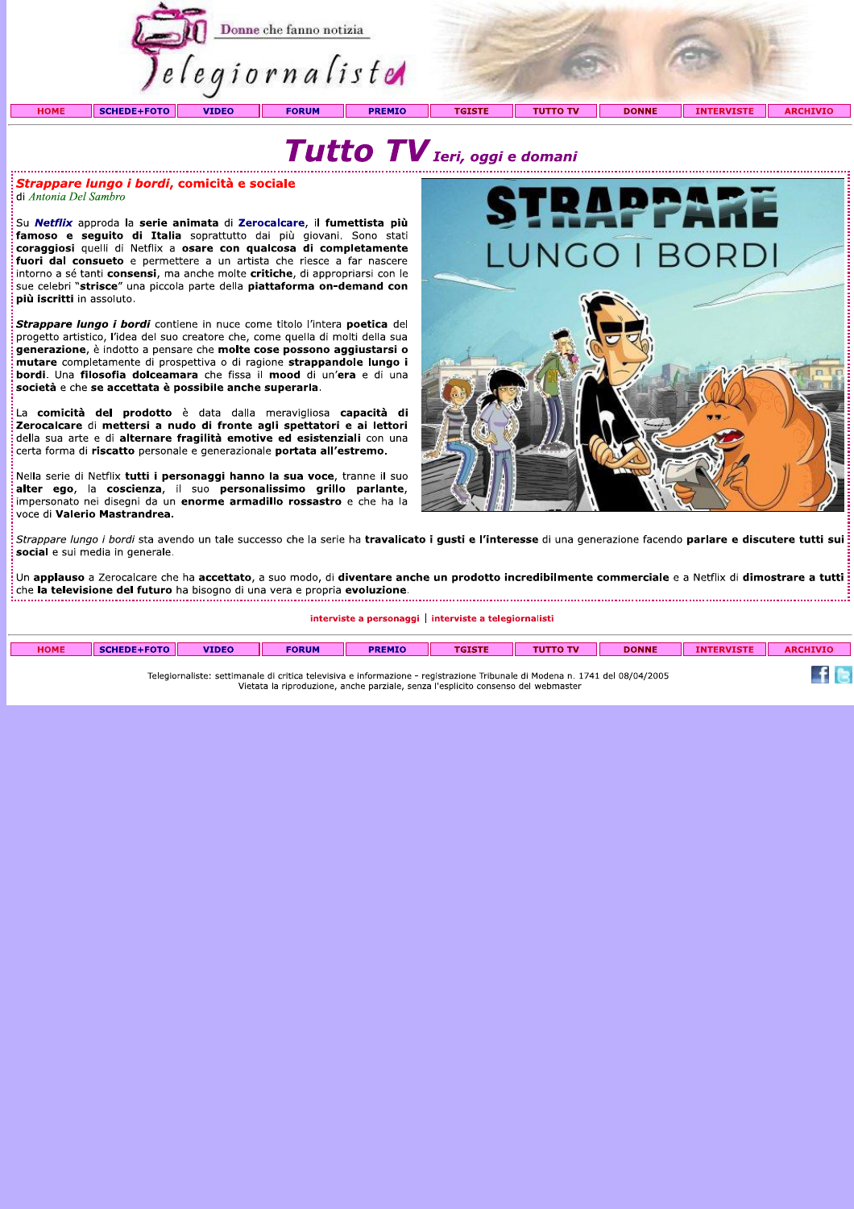

## Tutto TV Ieri, oggi e domani

*Strappare lungo i bordi, comicità e sociale* di Antonia Del Sambro

.<br>Su Netflix approda la serie animata di Zerocalcare, il fumettista più famoso e seguito di Italia soprattutto dai più giovani. Sono stati coraggiosi quelli di Netflix a osare con qualcosa di completamente fuori dal consueto e permettere a un artista che riesce a far nascere intorno a sé tanti consensi, ma anche molte critiche, di appropriarsi con le sue celebri "strisce" una piccola parte della piattaforma on-demand con più iscritti in assoluto.

Strappare lungo i bordi contiene in nuce come titolo l'intera poetica del progetto artistico, l'idea del suo creatore che, come quella di molti della sua generazione, è indotto a pensare che molte cose possono aggiustarsi o mutare completamente di prospettiva o di ragione strappandole lungo i bordi. Una filosofia dolceamara che fissa il mood di un'era e di una società e che se accettata è possibile anche superarla.

La comicità del prodotto è data dalla meravigliosa capacità di Zerocalcare di mettersi a nudo di fronte agli spettatori e ai lettori della sua arte e di alternare fragilità emotive ed esistenziali con una certa forma di riscatto personale e generazionale portata all'estremo.

Nella serie di Netflix tutti i personaggi hanno la sua voce, tranne il suo alter ego, la coscienza, il suo personalissimo grillo parlante,<br>impersonato nei disegni da un enorme armadillo rossastro e che ha la voce di Valerio Mastrandrea.



Strappare lungo i bordi sta avendo un tale successo che la serie ha travalicato i gusti e l'interesse di una generazione facendo parlare e discutere tutti sui social e sui media in generale.

.<br>I Un applauso a Zerocalcare che ha accettato, a suo modo, di diventare anche un prodotto incredibilmente commerciale e a Netflix di dimostrare a tutti : che la televisione del futuro ha bisogno di una vera e propria evoluzione. 

interviste a personaggi | interviste a telegiornalisti

| <b>HOME</b>                                                                                                                  | <b>SCHEDE+FOTO</b> | <b>VIDEO</b> | <b>FORUM</b> | <b>PREMIO</b> | <b>TGISTE</b> | <b>TUTTO TV</b> | <b>DONNE</b> | <b>INTERVISTE</b> | <b>ARCHIVIO</b> |
|------------------------------------------------------------------------------------------------------------------------------|--------------------|--------------|--------------|---------------|---------------|-----------------|--------------|-------------------|-----------------|
|                                                                                                                              |                    |              |              |               |               |                 |              |                   |                 |
|                                                                                                                              |                    |              |              |               |               |                 |              |                   |                 |
|                                                                                                                              |                    |              |              |               |               |                 |              |                   |                 |
|                                                                                                                              |                    |              |              |               |               |                 |              |                   |                 |
| Telegiornaliste: settimanale di critica televisiva e informazione - registrazione Tribunale di Modena n. 1741 del 08/04/2005 |                    |              |              |               |               |                 |              |                   |                 |
| Vietata la riproduzione, anche parziale, senza l'esplicito consenso del webmaster                                            |                    |              |              |               |               |                 |              |                   |                 |
|                                                                                                                              |                    |              |              |               |               |                 |              |                   |                 |